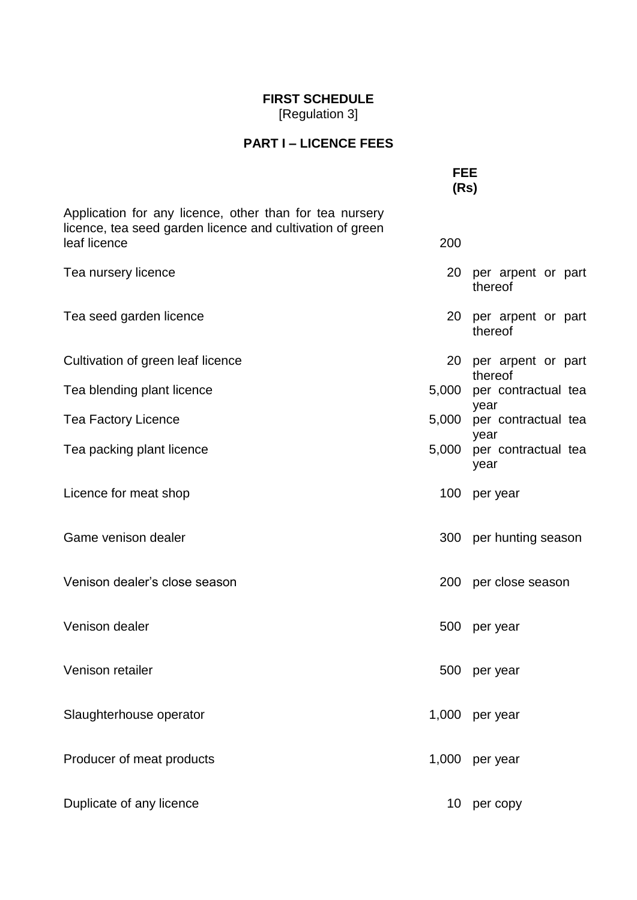## **FIRST SCHEDULE** [Regulation 3]

## **PART I – LICENCE FEES**

|                                                                                                                                      | <b>FEE</b><br>(Rs) |                                     |  |  |  |
|--------------------------------------------------------------------------------------------------------------------------------------|--------------------|-------------------------------------|--|--|--|
| Application for any licence, other than for tea nursery<br>licence, tea seed garden licence and cultivation of green<br>leaf licence | 200                |                                     |  |  |  |
| Tea nursery licence                                                                                                                  |                    | 20 per arpent or part<br>thereof    |  |  |  |
| Tea seed garden licence                                                                                                              |                    | 20 per arpent or part<br>thereof    |  |  |  |
| Cultivation of green leaf licence                                                                                                    | 20                 | per arpent or part<br>thereof       |  |  |  |
| Tea blending plant licence                                                                                                           | 5,000              | per contractual tea                 |  |  |  |
| <b>Tea Factory Licence</b>                                                                                                           | 5,000              | year<br>per contractual tea         |  |  |  |
| Tea packing plant licence                                                                                                            | 5,000              | year<br>per contractual tea<br>year |  |  |  |
| Licence for meat shop                                                                                                                | 100                | per year                            |  |  |  |
| Game venison dealer                                                                                                                  |                    | 300 per hunting season              |  |  |  |
| Venison dealer's close season                                                                                                        | <b>200</b>         | per close season                    |  |  |  |
| Venison dealer                                                                                                                       | 500                | per year                            |  |  |  |
| Venison retailer                                                                                                                     |                    | 500 per year                        |  |  |  |
| Slaughterhouse operator                                                                                                              | 1,000              | per year                            |  |  |  |
| Producer of meat products                                                                                                            | 1,000              | per year                            |  |  |  |
| Duplicate of any licence                                                                                                             | 10                 | per copy                            |  |  |  |